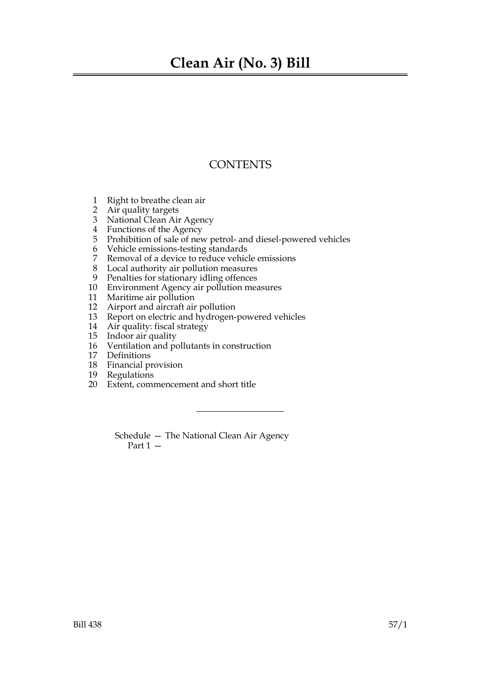## **Clean Air (No. 3) Bill**

### **CONTENTS**

- 1 Right to breathe clean air
- 2 Air quality targets
- 3 National Clean Air Agency
- 4 Functions of the Agency
- 5 Prohibition of sale of new petrol- and diesel-powered vehicles
- 6 Vehicle emissions-testing standards<br>7 Removal of a device to reduce vehic
- Removal of a device to reduce vehicle emissions
- 8 Local authority air pollution measures
- 9 Penalties for stationary idling offences
- 10 Environment Agency air pollution measures
- 11 Maritime air pollution
- 12 Airport and aircraft air pollution
- 13 Report on electric and hydrogen-powered vehicles
- 14 Air quality: fiscal strategy
- 15 Indoor air quality
- 16 Ventilation and pollutants in construction
- 17 Definitions
- 18 Financial provision
- 19 Regulations
- 20 Extent, commencement and short title

Schedule — The National Clean Air Agency Part 1 —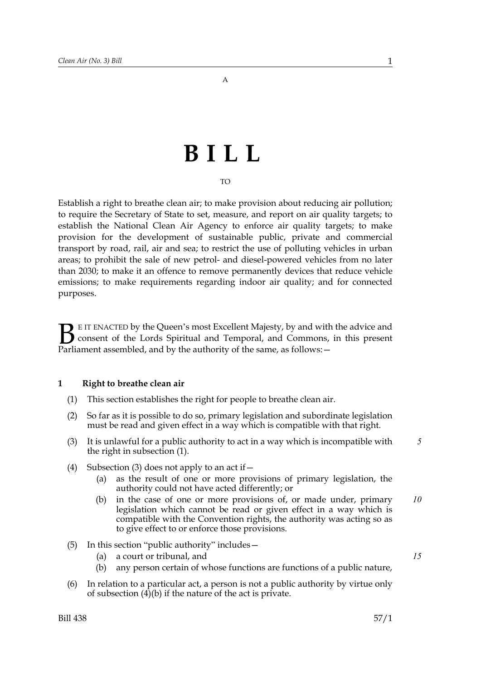A

# **BILL**

#### TO

Establish a right to breathe clean air; to make provision about reducing air pollution; to require the Secretary of State to set, measure, and report on air quality targets; to establish the National Clean Air Agency to enforce air quality targets; to make provision for the development of sustainable public, private and commercial transport by road, rail, air and sea; to restrict the use of polluting vehicles in urban areas; to prohibit the sale of new petrol- and diesel-powered vehicles from no later than 2030; to make it an offence to remove permanently devices that reduce vehicle emissions; to make requirements regarding indoor air quality; and for connected purposes.

E IT ENACTED by the Queen's most Excellent Majesty, by and with the advice and consent of the Lords Spiritual and Temporal, and Commons, in this present **B** EIT ENACTED by the Queen's most Excellent Majesty, by and with consent of the Lords Spiritual and Temporal, and Commons, Parliament assembled, and by the authority of the same, as follows:  $-$ 

#### **1 Right to breathe clean air**

- (1) This section establishes the right for people to breathe clean air.
- (2) So far as it is possible to do so, primary legislation and subordinate legislation must be read and given effect in a way which is compatible with that right.
- (3) It is unlawful for a public authority to act in a way which is incompatible with the right in subsection (1).
- (4) Subsection (3) does not apply to an act if  $-$ 
	- (a) as the result of one or more provisions of primary legislation, the authority could not have acted differently; or
	- (b) in the case of one or more provisions of, or made under, primary legislation which cannot be read or given effect in a way which is compatible with the Convention rights, the authority was acting so as to give effect to or enforce those provisions. *10*
- (5) In this section "public authority" includes—
	- (a) a court or tribunal, and
	- (b) any person certain of whose functions are functions of a public nature,
- (6) In relation to a particular act, a person is not a public authority by virtue only of subsection (4)(b) if the nature of the act is private.

*5*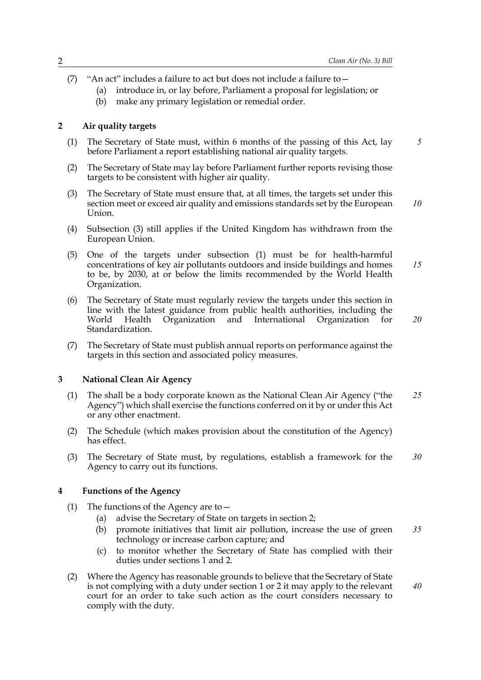- (7) "An act" includes a failure to act but does not include a failure to—
	- (a) introduce in, or lay before, Parliament a proposal for legislation; or
	- (b) make any primary legislation or remedial order.

#### **2 Air quality targets**

- (1) The Secretary of State must, within 6 months of the passing of this Act, lay before Parliament a report establishing national air quality targets.
- (2) The Secretary of State may lay before Parliament further reports revising those targets to be consistent with higher air quality.
- (3) The Secretary of State must ensure that, at all times, the targets set under this section meet or exceed air quality and emissions standards set by the European Union. *10*
- (4) Subsection (3) still applies if the United Kingdom has withdrawn from the European Union.
- (5) One of the targets under subsection (1) must be for health-harmful concentrations of key air pollutants outdoors and inside buildings and homes to be, by 2030, at or below the limits recommended by the World Health Organization. *15*
- (6) The Secretary of State must regularly review the targets under this section in line with the latest guidance from public health authorities, including the World Health Organization and International Organization for Standardization.
- (7) The Secretary of State must publish annual reports on performance against the targets in this section and associated policy measures.

#### **3 National Clean Air Agency**

- (1) The shall be a body corporate known as the National Clean Air Agency ("the Agency") which shall exercise the functions conferred on it by or under this Act or any other enactment. *25*
- (2) The Schedule (which makes provision about the constitution of the Agency) has effect.
- (3) The Secretary of State must, by regulations, establish a framework for the Agency to carry out its functions. *30*

#### **4 Functions of the Agency**

- (1) The functions of the Agency are to—
	- (a) advise the Secretary of State on targets in section 2;
	- (b) promote initiatives that limit air pollution, increase the use of green technology or increase carbon capture; and *35*
	- (c) to monitor whether the Secretary of State has complied with their duties under sections 1 and 2.
- (2) Where the Agency has reasonable grounds to believe that the Secretary of State is not complying with a duty under section 1 or 2 it may apply to the relevant court for an order to take such action as the court considers necessary to comply with the duty.

*5*

*20*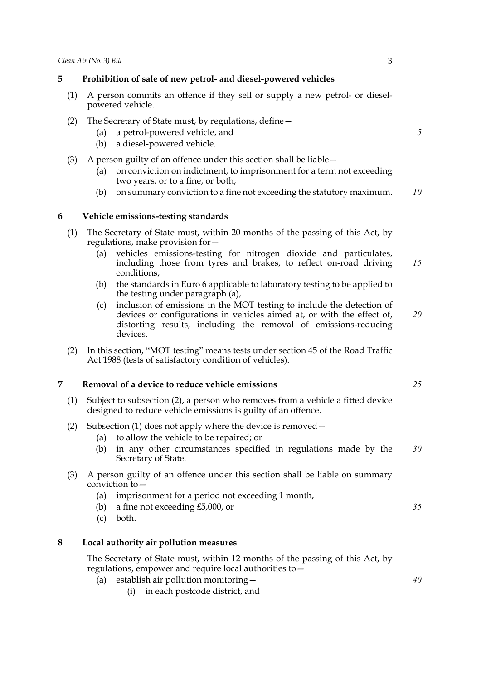#### **5 Prohibition of sale of new petrol- and diesel-powered vehicles**

- (1) A person commits an offence if they sell or supply a new petrol- or dieselpowered vehicle.
- (2) The Secretary of State must, by regulations, define—
	- (a) a petrol-powered vehicle, and
	- (b) a diesel-powered vehicle.
- (3) A person guilty of an offence under this section shall be liable—
	- (a) on conviction on indictment, to imprisonment for a term not exceeding two years, or to a fine, or both;
	- (b) on summary conviction to a fine not exceeding the statutory maximum. *10*

#### **6 Vehicle emissions-testing standards**

- (1) The Secretary of State must, within 20 months of the passing of this Act, by regulations, make provision for—
	- (a) vehicles emissions-testing for nitrogen dioxide and particulates, including those from tyres and brakes, to reflect on-road driving conditions, *15*
	- (b) the standards in Euro 6 applicable to laboratory testing to be applied to the testing under paragraph (a),
	- (c) inclusion of emissions in the MOT testing to include the detection of devices or configurations in vehicles aimed at, or with the effect of, distorting results, including the removal of emissions-reducing devices. *20*
- (2) In this section, "MOT testing" means tests under section 45 of the Road Traffic Act 1988 (tests of satisfactory condition of vehicles).

#### **7 Removal of a device to reduce vehicle emissions**

- (1) Subject to subsection (2), a person who removes from a vehicle a fitted device designed to reduce vehicle emissions is guilty of an offence.
- (2) Subsection (1) does not apply where the device is removed—
	- (a) to allow the vehicle to be repaired; or
	- (b) in any other circumstances specified in regulations made by the Secretary of State. *30*
- (3) A person guilty of an offence under this section shall be liable on summary conviction to—
	- (a) imprisonment for a period not exceeding 1 month,
	- (b) a fine not exceeding £5,000, or
	- (c) both.

#### **8 Local authority air pollution measures**

The Secretary of State must, within 12 months of the passing of this Act, by regulations, empower and require local authorities to—

- (a) establish air pollution monitoring—
	- (i) in each postcode district, and

*25*

*35*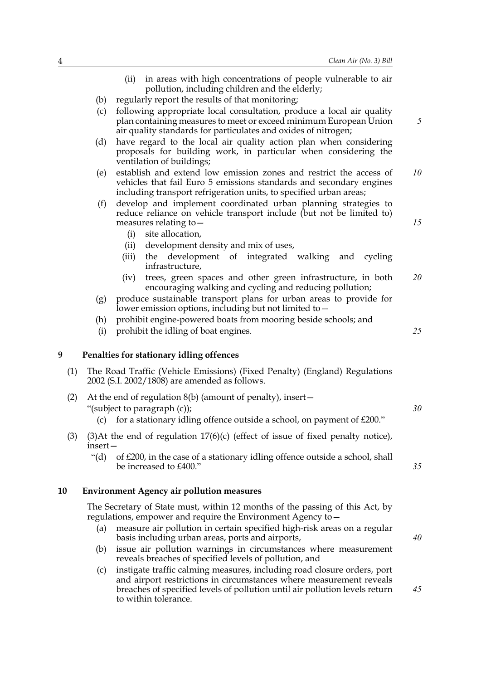*40*

|     |                                                                                                                             | in areas with high concentrations of people vulnerable to air<br>(ii)<br>pollution, including children and the elderly;                                                                                         |    |
|-----|-----------------------------------------------------------------------------------------------------------------------------|-----------------------------------------------------------------------------------------------------------------------------------------------------------------------------------------------------------------|----|
|     | (b)                                                                                                                         | regularly report the results of that monitoring;                                                                                                                                                                |    |
|     | (c)                                                                                                                         | following appropriate local consultation, produce a local air quality<br>plan containing measures to meet or exceed minimum European Union<br>air quality standards for particulates and oxides of nitrogen;    | 5  |
|     | (d)                                                                                                                         | have regard to the local air quality action plan when considering<br>proposals for building work, in particular when considering the<br>ventilation of buildings;                                               |    |
|     | (e)                                                                                                                         | establish and extend low emission zones and restrict the access of<br>vehicles that fail Euro 5 emissions standards and secondary engines<br>including transport refrigeration units, to specified urban areas; | 10 |
|     | (f)                                                                                                                         | develop and implement coordinated urban planning strategies to<br>reduce reliance on vehicle transport include (but not be limited to)<br>measures relating to -                                                | 15 |
|     |                                                                                                                             | (i)<br>site allocation,                                                                                                                                                                                         |    |
|     |                                                                                                                             | development density and mix of uses,<br>(ii)                                                                                                                                                                    |    |
|     |                                                                                                                             | the development of integrated walking<br>(iii)<br>and cycling<br>infrastructure,                                                                                                                                |    |
|     |                                                                                                                             | trees, green spaces and other green infrastructure, in both<br>(iv)<br>encouraging walking and cycling and reducing pollution;                                                                                  | 20 |
|     | (g)                                                                                                                         | produce sustainable transport plans for urban areas to provide for<br>lower emission options, including but not limited to -                                                                                    |    |
|     | (h)                                                                                                                         | prohibit engine-powered boats from mooring beside schools; and                                                                                                                                                  |    |
|     | (i)                                                                                                                         | prohibit the idling of boat engines.                                                                                                                                                                            | 25 |
| 9   |                                                                                                                             | Penalties for stationary idling offences                                                                                                                                                                        |    |
| (1) | The Road Traffic (Vehicle Emissions) (Fixed Penalty) (England) Regulations<br>2002 (S.I. 2002/1808) are amended as follows. |                                                                                                                                                                                                                 |    |
| (2) |                                                                                                                             | At the end of regulation $8(b)$ (amount of penalty), insert $-$                                                                                                                                                 |    |
|     |                                                                                                                             | "(subject to paragraph (c));                                                                                                                                                                                    | 30 |
|     | (c)                                                                                                                         | for a stationary idling offence outside a school, on payment of £200."                                                                                                                                          |    |
| (3) | insert-                                                                                                                     | $(3)$ At the end of regulation $17(6)(c)$ (effect of issue of fixed penalty notice),                                                                                                                            |    |
|     | " $(d)$ "                                                                                                                   | of £200, in the case of a stationary idling offence outside a school, shall<br>be increased to £400."                                                                                                           | 35 |
| 10  |                                                                                                                             | <b>Environment Agency air pollution measures</b>                                                                                                                                                                |    |
|     |                                                                                                                             | The Secretary of State must, within 12 months of the passing of this Act, by<br>regulations, empower and require the Environment Agency to -                                                                    |    |

- (a) measure air pollution in certain specified high-risk areas on a regular basis including urban areas, ports and airports,
- (b) issue air pollution warnings in circumstances where measurement reveals breaches of specified levels of pollution, and
- (c) instigate traffic calming measures, including road closure orders, port and airport restrictions in circumstances where measurement reveals breaches of specified levels of pollution until air pollution levels return to within tolerance.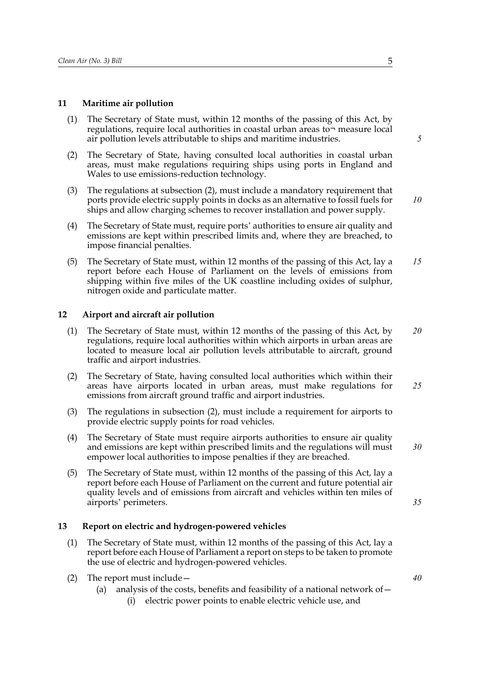#### **11 Maritime air pollution**

- (1) The Secretary of State must, within 12 months of the passing of this Act, by regulations, require local authorities in coastal urban areas to¬ measure local air pollution levels attributable to ships and maritime industries.
- (2) The Secretary of State, having consulted local authorities in coastal urban areas, must make regulations requiring ships using ports in England and Wales to use emissions-reduction technology.
- (3) The regulations at subsection (2), must include a mandatory requirement that ports provide electric supply points in docks as an alternative to fossil fuels for ships and allow charging schemes to recover installation and power supply.
- (4) The Secretary of State must, require ports' authorities to ensure air quality and emissions are kept within prescribed limits and, where they are breached, to impose financial penalties.
- (5) The Secretary of State must, within 12 months of the passing of this Act, lay a report before each House of Parliament on the levels of emissions from shipping within five miles of the UK coastline including oxides of sulphur, nitrogen oxide and particulate matter. *15*

#### **12 Airport and aircraft air pollution**

- (1) The Secretary of State must, within 12 months of the passing of this Act, by regulations, require local authorities within which airports in urban areas are located to measure local air pollution levels attributable to aircraft, ground traffic and airport industries. *20*
- (2) The Secretary of State, having consulted local authorities which within their areas have airports located in urban areas, must make regulations for emissions from aircraft ground traffic and airport industries. *25*
- (3) The regulations in subsection (2), must include a requirement for airports to provide electric supply points for road vehicles.
- (4) The Secretary of State must require airports authorities to ensure air quality and emissions are kept within prescribed limits and the regulations will must empower local authorities to impose penalties if they are breached.
- (5) The Secretary of State must, within 12 months of the passing of this Act, lay a report before each House of Parliament on the current and future potential air quality levels and of emissions from aircraft and vehicles within ten miles of airports' perimeters.

#### **13 Report on electric and hydrogen-powered vehicles**

- (1) The Secretary of State must, within 12 months of the passing of this Act, lay a report before each House of Parliament a report on steps to be taken to promote the use of electric and hydrogen-powered vehicles.
- (2) The report must include—
	- (a) analysis of the costs, benefits and feasibility of a national network of  $-$ 
		- (i) electric power points to enable electric vehicle use, and

*5*

*10*

*30*

*35*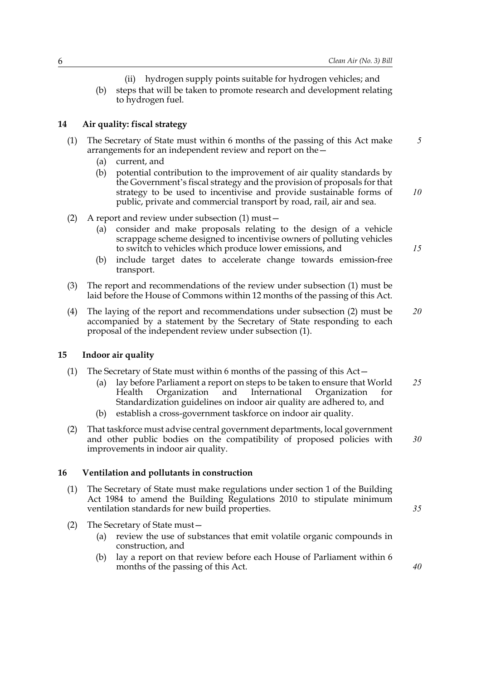- (ii) hydrogen supply points suitable for hydrogen vehicles; and
- (b) steps that will be taken to promote research and development relating to hydrogen fuel.

#### **14 Air quality: fiscal strategy**

- (1) The Secretary of State must within 6 months of the passing of this Act make arrangements for an independent review and report on the—
	- (a) current, and
	- (b) potential contribution to the improvement of air quality standards by the Government's fiscal strategy and the provision of proposals for that strategy to be used to incentivise and provide sustainable forms of public, private and commercial transport by road, rail, air and sea. *10*
- (2) A report and review under subsection (1) must—
	- (a) consider and make proposals relating to the design of a vehicle scrappage scheme designed to incentivise owners of polluting vehicles to switch to vehicles which produce lower emissions, and
	- (b) include target dates to accelerate change towards emission-free transport.
- (3) The report and recommendations of the review under subsection (1) must be laid before the House of Commons within 12 months of the passing of this Act.
- (4) The laying of the report and recommendations under subsection (2) must be accompanied by a statement by the Secretary of State responding to each proposal of the independent review under subsection (1). *20*

#### **15 Indoor air quality**

- (1) The Secretary of State must within 6 months of the passing of this Act—
	- (a) lay before Parliament a report on steps to be taken to ensure that World Health Organization and International Organization for Standardization guidelines on indoor air quality are adhered to, and *25*
	- (b) establish a cross-government taskforce on indoor air quality.
- (2) That taskforce must advise central government departments, local government and other public bodies on the compatibility of proposed policies with improvements in indoor air quality. *30*

#### **16 Ventilation and pollutants in construction**

- (1) The Secretary of State must make regulations under section 1 of the Building Act 1984 to amend the Building Regulations 2010 to stipulate minimum ventilation standards for new build properties.
- (2) The Secretary of State must—
	- (a) review the use of substances that emit volatile organic compounds in construction, and
	- (b) lay a report on that review before each House of Parliament within 6 months of the passing of this Act.

*15*

*35*

*40*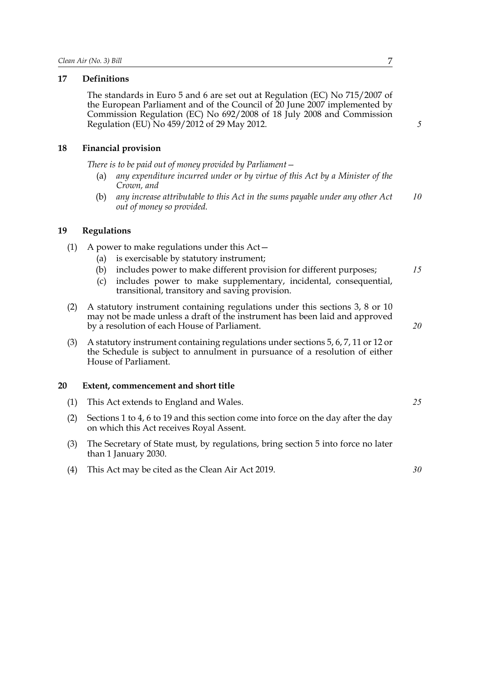#### **17 Definitions**

The standards in Euro 5 and 6 are set out at Regulation (EC) No 715/2007 of the European Parliament and of the Council of 20 June 2007 implemented by Commission Regulation (EC) No 692/2008 of 18 July 2008 and Commission Regulation (EU) No 459/2012 of 29 May 2012.

#### **18 Financial provision**

*There is to be paid out of money provided by Parliament—*

- (a) *any expenditure incurred under or by virtue of this Act by a Minister of the Crown, and*
- (b) *any increase attributable to this Act in the sums payable under any other Act out of money so provided. 10*

#### **19 Regulations**

- (1) A power to make regulations under this Act—
	- (a) is exercisable by statutory instrument;
	- (b) includes power to make different provision for different purposes;
	- (c) includes power to make supplementary, incidental, consequential, transitional, transitory and saving provision.
- (2) A statutory instrument containing regulations under this sections 3, 8 or 10 may not be made unless a draft of the instrument has been laid and approved by a resolution of each House of Parliament.
- (3) A statutory instrument containing regulations under sections 5, 6, 7, 11 or 12 or the Schedule is subject to annulment in pursuance of a resolution of either House of Parliament.

#### **20 Extent, commencement and short title**

- (1) This Act extends to England and Wales.
- (2) Sections 1 to 4, 6 to 19 and this section come into force on the day after the day on which this Act receives Royal Assent.
- (3) The Secretary of State must, by regulations, bring section 5 into force no later than 1 January 2030.
- (4) This Act may be cited as the Clean Air Act 2019.

*30*

#### *15*

*5*

*25*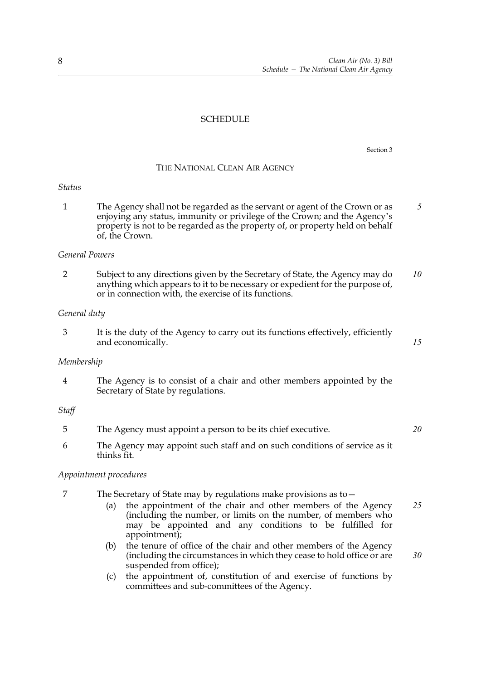#### **SCHEDULE**

Section 3

#### THE NATIONAL CLEAN AIR AGENCY

#### *Status*

1 The Agency shall not be regarded as the servant or agent of the Crown or as enjoying any status, immunity or privilege of the Crown; and the Agency's property is not to be regarded as the property of, or property held on behalf of, the Crown. *5*

#### *General Powers*

2 Subject to any directions given by the Secretary of State, the Agency may do anything which appears to it to be necessary or expedient for the purpose of, or in connection with, the exercise of its functions. *10*

#### *General duty*

3 It is the duty of the Agency to carry out its functions effectively, efficiently and economically.

#### *Membership*

4 The Agency is to consist of a chair and other members appointed by the Secretary of State by regulations.

#### *Staff*

- 5 The Agency must appoint a person to be its chief executive. *20*
- 6 The Agency may appoint such staff and on such conditions of service as it thinks fit.

#### *Appointment procedures*

- 7 The Secretary of State may by regulations make provisions as to—
	- (a) the appointment of the chair and other members of the Agency (including the number, or limits on the number, of members who may be appointed and any conditions to be fulfilled for appointment); *25*
	- (b) the tenure of office of the chair and other members of the Agency (including the circumstances in which they cease to hold office or are suspended from office);
	- (c) the appointment of, constitution of and exercise of functions by committees and sub-committees of the Agency.

*15*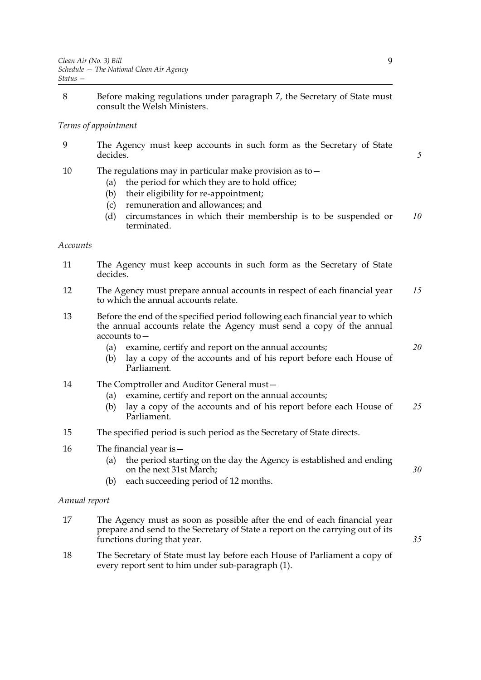8 Before making regulations under paragraph 7, the Secretary of State must consult the Welsh Ministers.

#### *Terms of appointment*

- 9 The Agency must keep accounts in such form as the Secretary of State decides.
- 10 The regulations may in particular make provision as to—
	- (a) the period for which they are to hold office;
	- (b) their eligibility for re-appointment;
	- (c) remuneration and allowances; and
	- (d) circumstances in which their membership is to be suspended or terminated. *10*

#### *Accounts*

- 11 The Agency must keep accounts in such form as the Secretary of State decides.
- 12 The Agency must prepare annual accounts in respect of each financial year to which the annual accounts relate. *15*
- 13 Before the end of the specified period following each financial year to which the annual accounts relate the Agency must send a copy of the annual accounts to—
	- (a) examine, certify and report on the annual accounts;
	- (b) lay a copy of the accounts and of his report before each House of Parliament.
- 14 The Comptroller and Auditor General must—
	- (a) examine, certify and report on the annual accounts;
	- (b) lay a copy of the accounts and of his report before each House of Parliament. *25*
- 15 The specified period is such period as the Secretary of State directs.
- 16 The financial year is—
	- (a) the period starting on the day the Agency is established and ending on the next 31st March;
	- (b) each succeeding period of 12 months.

#### *Annual report*

- 17 The Agency must as soon as possible after the end of each financial year prepare and send to the Secretary of State a report on the carrying out of its functions during that year.
- 18 The Secretary of State must lay before each House of Parliament a copy of every report sent to him under sub-paragraph (1).

*5*

*20*

*30*